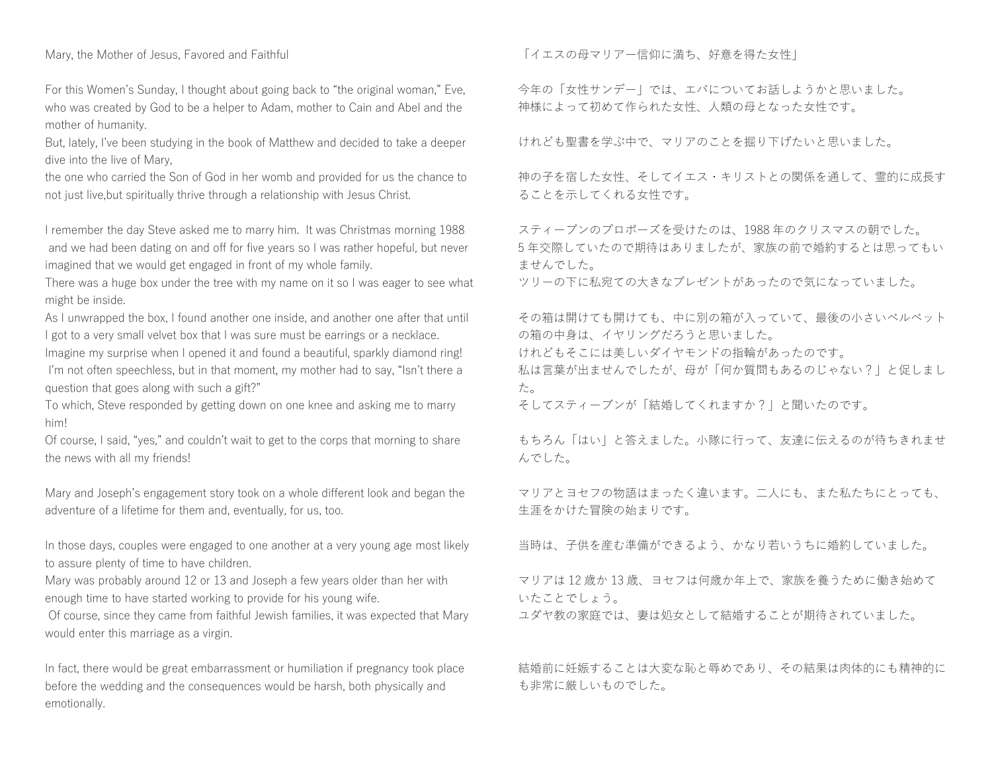Mary, the Mother of Jesus, Favored and Faithful

For this Women's Sunday, I thought about going back to "the original woman," Eve, who was created by God to be a helper to Adam, mother to Cain and Abel and the mother of humanity.

But, lately, I've been studying in the book of Matthew and decided to take a deeper dive into the live of Mary,

the one who carried the Son of God in her womb and provided for us the chance to not just live,but spiritually thrive through a relationship with Jesus Christ.

I remember the day Steve asked me to marry him. It was Christmas morning 1988 and we had been dating on and off for five years so I was rather hopeful, but never imagined that we would get engaged in front of my whole family.

There was a huge box under the tree with my name on it so I was eager to see what might be inside.

As I unwrapped the box, I found another one inside, and another one after that until I got to a very small velvet box that I was sure must be earrings or a necklace.

Imagine my surprise when I opened it and found a beautiful, sparkly diamond ring! I'm not often speechless, but in that moment, my mother had to say, "Isn't there a question that goes along with such a gift?"

To which, Steve responded by getting down on one knee and asking me to marry him!

Of course, I said, "yes," and couldn't wait to get to the corps that morning to share the news with all my friends!

Mary and Joseph's engagement story took on a whole different look and began the adventure of a lifetime for them and, eventually, for us, too.

In those days, couples were engaged to one another at a very young age most likely to assure plenty of time to have children.

Mary was probably around 12 or 13 and Joseph a few years older than her with enough time to have started working to provide for his young wife.

Of course, since they came from faithful Jewish families, it was expected that Mary would enter this marriage as a virgin.

In fact, there would be great embarrassment or humiliation if pregnancy took place before the wedding and the consequences would be harsh, both physically and emotionally.

「イエスの母マリアー信仰に満ち、好意を得た女性」

今年の「女性サンデー」では、エバについてお話しようかと思いました。 神様によって初めて作られた女性、人類の母となった女性です。

けれども聖書を学ぶ中で、マリアのことを掘り下げたいと思いました。

神の子を宿した女性、そしてイエス・キリストとの関係を通して、霊的に成長す ることを示してくれる女性です。

スティーブンのプロポーズを受けたのは、1988 年のクリスマスの朝でした。 5 年交際していたので期待はありましたが、家族の前で婚約するとは思ってもい ませんでした。

ツリーの下に私宛ての大きなプレゼントがあったので気になっていました。

その箱は開けても開けても、中に別の箱が入っていて、最後の小さいベルベット の箱の中身は、イヤリングだろうと思いました。 けれどもそこには美しいダイヤモンドの指輪があったのです。

私は言葉が出ませんでしたが、母が「何か質問もあるのじゃない?」と促しまし た。

そしてスティーブンが「結婚してくれますか?」と聞いたのです。

もちろん「はい」と答えました。小隊に行って、友達に伝えるのが待ちきれませ んでした。

マリアとヨセフの物語はまったく違います。二人にも、また私たちにとっても、 生涯をかけた冒険の始まりです。

当時は、子供を産む準備ができるよう、かなり若いうちに婚約していました。

マリアは 12 歳か 13 歳、ヨセフは何歳か年上で、家族を養うために働き始めて いたことでしょう。

ユダヤ教の家庭では、妻は処女として結婚することが期待されていました。

結婚前に妊娠することは大変な恥と辱めであり、その結果は肉体的にも精神的に も非常に厳しいものでした。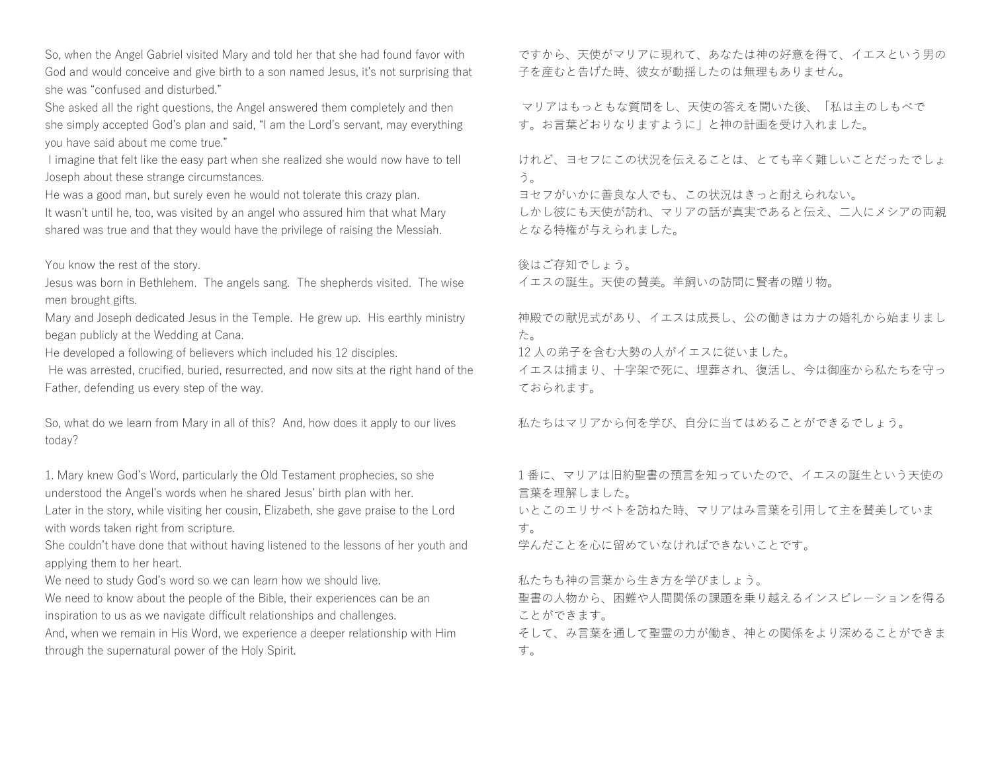So, when the Angel Gabriel visited Mary and told her that she had found favor with God and would conceive and give birth to a son named Jesus, it's not surprising that she was "confused and disturbed."

She asked all the right questions, the Angel answered them completely and then she simply accepted God's plan and said, "I am the Lord's servant, may everything you have said about me come true."

I imagine that felt like the easy part when she realized she would now have to tell Joseph about these strange circumstances.

He was a good man, but surely even he would not tolerate this crazy plan.

It wasn't until he, too, was visited by an angel who assured him that what Mary shared was true and that they would have the privilege of raising the Messiah.

You know the rest of the story.

Jesus was born in Bethlehem. The angels sang. The shepherds visited. The wise men brought gifts.

Mary and Joseph dedicated Jesus in the Temple. He grew up. His earthly ministry began publicly at the Wedding at Cana.

He developed a following of believers which included his 12 disciples.

He was arrested, crucified, buried, resurrected, and now sits at the right hand of the Father, defending us every step of the way.

So, what do we learn from Mary in all of this? And, how does it apply to our lives today?

1. Mary knew God's Word, particularly the Old Testament prophecies, so she understood the Angel's words when he shared Jesus' birth plan with her.

Later in the story, while visiting her cousin, Elizabeth, she gave praise to the Lord with words taken right from scripture.

She couldn't have done that without having listened to the lessons of her youth and applying them to her heart.

We need to study God's word so we can learn how we should live.

We need to know about the people of the Bible, their experiences can be an inspiration to us as we navigate difficult relationships and challenges.

And, when we remain in His Word, we experience a deeper relationship with Him through the supernatural power of the Holy Spirit.

ですから、天使がマリアに現れて、あなたは神の好意を得て、イエスという男の 子を産むと告げた時、彼女が動揺したのは無理もありません。

マリアはもっともな質問をし、天使の答えを聞いた後、「私は主のしもべで す。お言葉どおりなりますように」と神の計画を受け入れました。

けれど、ヨセフにこの状況を伝えることは、とても辛く難しいことだったでしょ う。

ヨセフがいかに善良な人でも、この状況はきっと耐えられない。

しかし彼にも天使が訪れ、マリアの話が真実であると伝え、二人にメシアの両親 となる特権が与えられました。

後はご存知でしょう。

イエスの誕生。天使の賛美。羊飼いの訪問に賢者の贈り物。

神殿での献児式があり、イエスは成長し、公の働きはカナの婚礼から始まりまし た。

12 人の弟子を含む大勢の人がイエスに従いました。

イエスは捕まり、十字架で死に、埋葬され、復活し、今は御座から私たちを守っ ておられます。

私たちはマリアから何を学び、自分に当てはめることができるでしょう。

1 番に、マリアは旧約聖書の預言を知っていたので、イエスの誕生という天使の 言葉を理解しました。 いとこのエリサベトを訪ねた時、マリアはみ言葉を引用して主を賛美していま す。

学んだことを心に留めていなければできないことです。

私たちも神の言葉から生き方を学びましょう。 聖書の人物から、困難や人間関係の課題を乗り越えるインスピレーションを得る ことができます。

そして、み言葉を通して聖霊の力が働き、神との関係をより深めることができま す。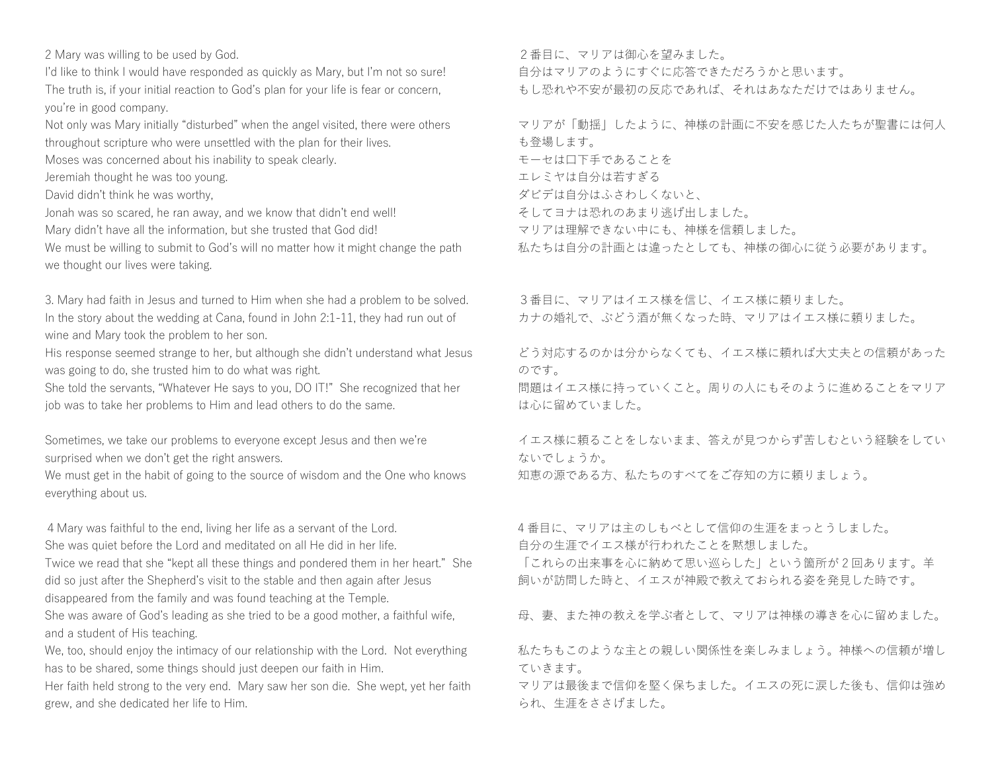2 Mary was willing to be used by God.

I'd like to think I would have responded as quickly as Mary, but I'm not so sure! The truth is, if your initial reaction to God's plan for your life is fear or concern, you're in good company.

Not only was Mary initially "disturbed" when the angel visited, there were others throughout scripture who were unsettled with the plan for their lives.

Moses was concerned about his inability to speak clearly.

Jeremiah thought he was too young.

David didn't think he was worthy,

Jonah was so scared, he ran away, and we know that didn't end well!

Mary didn't have all the information, but she trusted that God did!

We must be willing to submit to God's will no matter how it might change the path we thought our lives were taking.

3. Mary had faith in Jesus and turned to Him when she had a problem to be solved. In the story about the wedding at Cana, found in John 2:1-11, they had run out of wine and Mary took the problem to her son.

His response seemed strange to her, but although she didn't understand what Jesus was going to do, she trusted him to do what was right.

She told the servants, "Whatever He says to you, DO IT!" She recognized that her job was to take her problems to Him and lead others to do the same.

Sometimes, we take our problems to everyone except Jesus and then we're surprised when we don't get the right answers.

We must get in the habit of going to the source of wisdom and the One who knows everything about us.

4Mary was faithful to the end, living her life as a servant of the Lord. She was quiet before the Lord and meditated on all He did in her life. Twice we read that she "kept all these things and pondered them in her heart." She did so just after the Shepherd's visit to the stable and then again after Jesus disappeared from the family and was found teaching at the Temple. She was aware of God's leading as she tried to be a good mother, a faithful wife, and a student of His teaching.

We, too, should enjoy the intimacy of our relationship with the Lord. Not everything has to be shared, some things should just deepen our faith in Him.

Her faith held strong to the very end. Mary saw her son die. She wept, yet her faith grew, and she dedicated her life to Him.

2番目に、マリアは御心を望みました。

自分はマリアのようにすぐに応答できただろうかと思います。

もし恐れや不安が最初の反応であれば、それはあなただけではありません。

マリアが「動揺」したように、神様の計画に不安を感じた人たちが聖書には何人 も登場します。 モーセは口下手であることを エレミヤは自分は若すぎる ダビデは自分はふさわしくないと、 そしてヨナは恐れのあまり逃げ出しました。 マリアは理解できない中にも、神様を信頼しました。

私たちは自分の計画とは違ったとしても、神様の御心に従う必要があります。

3番目に、マリアはイエス様を信じ、イエス様に頼りました。 カナの婚礼で、ぶどう酒が無くなった時、マリアはイエス様に頼りました。

どう対応するのかは分からなくても、イエス様に頼れば大丈夫との信頼があった のです。

問題はイエス様に持っていくこと。周りの人にもそのように進めることをマリア は心に留めていました。

イエス様に頼ることをしないまま、答えが見つからず苦しむという経験をしてい ないでしょうか。

知恵の源である方、私たちのすべてをご存知の方に頼りましょう。

4 番目に、マリアは主のしもべとして信仰の生涯をまっとうしました。 自分の生涯でイエス様が行われたことを黙想しました。

「これらの出来事を心に納めて思い巡らした」という箇所が 2 回あります。羊 飼いが訪問した時と、イエスが神殿で教えておられる姿を発見した時です。

母、妻、また神の教えを学ぶ者として、マリアは神様の導きを心に留めました。

私たちもこのような主との親しい関係性を楽しみましょう。神様への信頼が増し ていきます。

マリアは最後まで信仰を堅く保ちました。イエスの死に涙した後も、信仰は強め られ、生涯をささげました。